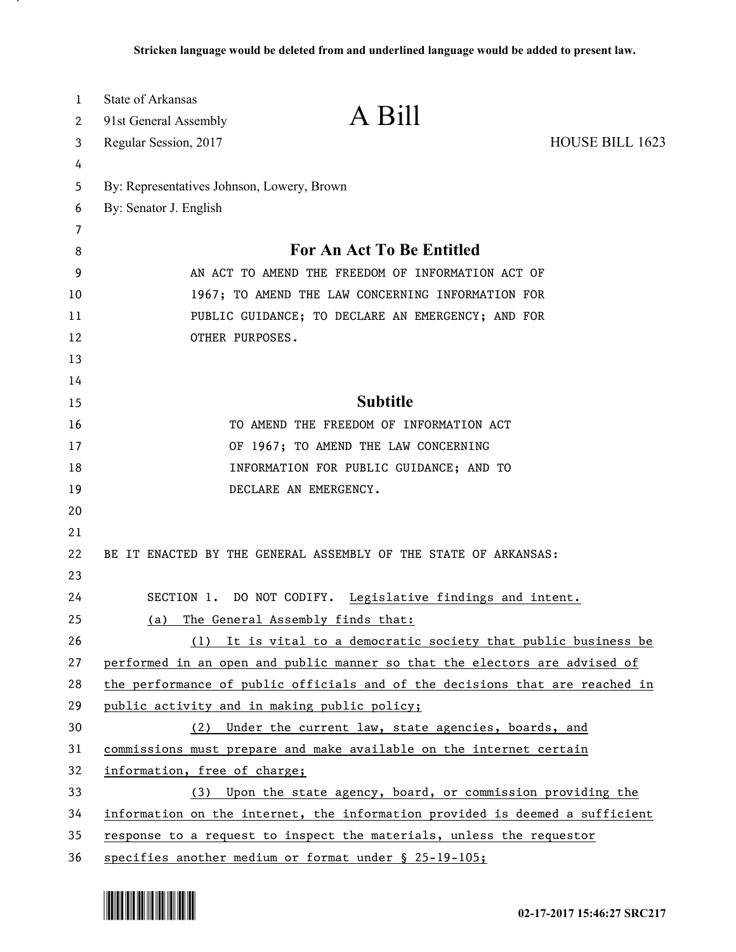| 1  | State of Arkansas                                 |                                                                              |                 |
|----|---------------------------------------------------|------------------------------------------------------------------------------|-----------------|
| 2  | 91st General Assembly                             | A Bill                                                                       |                 |
| 3  | Regular Session, 2017                             |                                                                              | HOUSE BILL 1623 |
| 4  |                                                   |                                                                              |                 |
| 5  | By: Representatives Johnson, Lowery, Brown        |                                                                              |                 |
| 6  | By: Senator J. English                            |                                                                              |                 |
| 7  |                                                   |                                                                              |                 |
| 8  |                                                   | For An Act To Be Entitled                                                    |                 |
| 9  | AN ACT TO AMEND THE FREEDOM OF INFORMATION ACT OF |                                                                              |                 |
| 10 |                                                   | 1967; TO AMEND THE LAW CONCERNING INFORMATION FOR                            |                 |
| 11 |                                                   | PUBLIC GUIDANCE; TO DECLARE AN EMERGENCY; AND FOR                            |                 |
| 12 | OTHER PURPOSES.                                   |                                                                              |                 |
| 13 |                                                   |                                                                              |                 |
| 14 |                                                   |                                                                              |                 |
| 15 |                                                   | <b>Subtitle</b>                                                              |                 |
| 16 |                                                   | TO AMEND THE FREEDOM OF INFORMATION ACT                                      |                 |
| 17 |                                                   | OF 1967; TO AMEND THE LAW CONCERNING                                         |                 |
| 18 |                                                   | INFORMATION FOR PUBLIC GUIDANCE; AND TO                                      |                 |
| 19 |                                                   | DECLARE AN EMERGENCY.                                                        |                 |
| 20 |                                                   |                                                                              |                 |
| 21 |                                                   |                                                                              |                 |
| 22 |                                                   | BE IT ENACTED BY THE GENERAL ASSEMBLY OF THE STATE OF ARKANSAS:              |                 |
| 23 |                                                   |                                                                              |                 |
| 24 |                                                   | SECTION 1. DO NOT CODIFY. Legislative findings and intent.                   |                 |
| 25 | (a)                                               | The General Assembly finds that:                                             |                 |
| 26 |                                                   | (1) It is vital to a democratic society that public business be              |                 |
| 27 |                                                   | performed in an open and public manner so that the electors are advised of   |                 |
| 28 |                                                   | the performance of public officials and of the decisions that are reached in |                 |
| 29 | public activity and in making public policy;      |                                                                              |                 |
| 30 | (2)                                               | Under the current law, state agencies, boards, and                           |                 |
| 31 |                                                   | commissions must prepare and make available on the internet certain          |                 |
| 32 | information, free of charge;                      |                                                                              |                 |
| 33 | (3)                                               | Upon the state agency, board, or commission providing the                    |                 |
| 34 |                                                   | information on the internet, the information provided is deemed a sufficient |                 |
| 35 |                                                   | response to a request to inspect the materials, unless the requestor         |                 |
| 36 |                                                   | specifies another medium or format under § 25-19-105;                        |                 |



.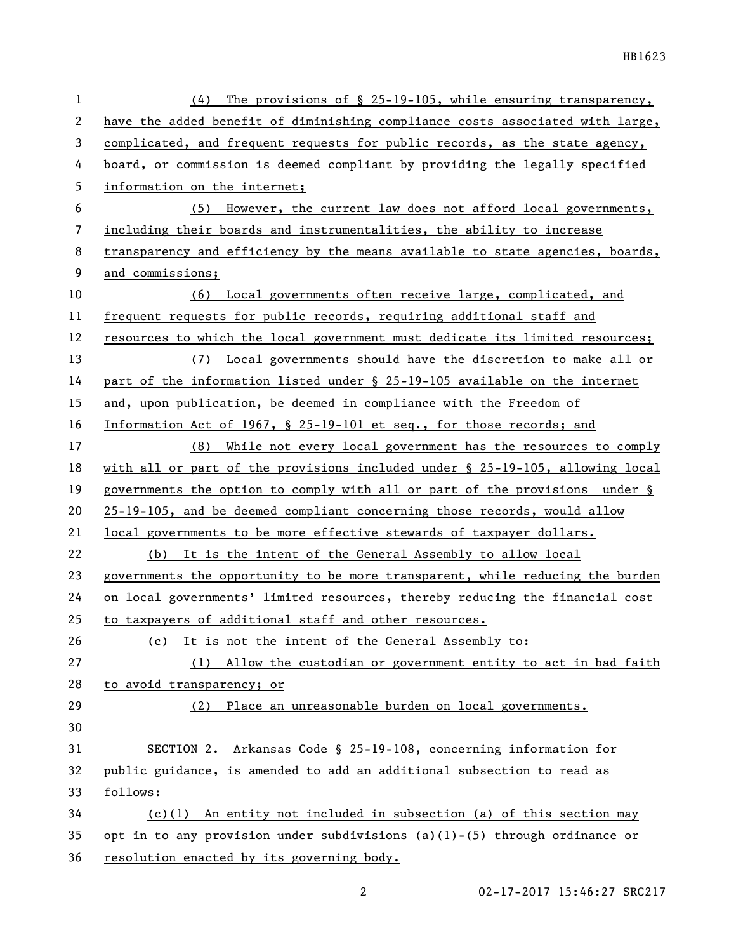| 1  | The provisions of $\S$ 25-19-105, while ensuring transparency,<br>(4)         |
|----|-------------------------------------------------------------------------------|
| 2  | have the added benefit of diminishing compliance costs associated with large, |
| 3  | complicated, and frequent requests for public records, as the state agency,   |
| 4  | board, or commission is deemed compliant by providing the legally specified   |
| 5  | information on the internet;                                                  |
| 6  | However, the current law does not afford local governments,<br>(5)            |
| 7  | including their boards and instrumentalities, the ability to increase         |
| 8  | transparency and efficiency by the means available to state agencies, boards, |
| 9  | and commissions;                                                              |
| 10 | (6) Local governments often receive large, complicated, and                   |
| 11 | frequent requests for public records, requiring additional staff and          |
| 12 | resources to which the local government must dedicate its limited resources;  |
| 13 | (7) Local governments should have the discretion to make all or               |
| 14 | part of the information listed under § 25-19-105 available on the internet    |
| 15 | and, upon publication, be deemed in compliance with the Freedom of            |
| 16 | Information Act of 1967, § 25-19-101 et seq., for those records; and          |
| 17 | (8) While not every local government has the resources to comply              |
| 18 | with all or part of the provisions included under § 25-19-105, allowing local |
| 19 | governments the option to comply with all or part of the provisions under §   |
| 20 | 25-19-105, and be deemed compliant concerning those records, would allow      |
| 21 | local governments to be more effective stewards of taxpayer dollars.          |
| 22 | (b) It is the intent of the General Assembly to allow local                   |
| 23 | governments the opportunity to be more transparent, while reducing the burden |
| 24 | on local governments' limited resources, thereby reducing the financial cost  |
| 25 | to taxpayers of additional staff and other resources.                         |
| 26 | (c) It is not the intent of the General Assembly to:                          |
| 27 | Allow the custodian or government entity to act in bad faith<br>(1)           |
| 28 | to avoid transparency; or                                                     |
| 29 | Place an unreasonable burden on local governments.<br>(2)                     |
| 30 |                                                                               |
| 31 | SECTION 2. Arkansas Code § 25-19-108, concerning information for              |
| 32 | public guidance, is amended to add an additional subsection to read as        |
| 33 | follows:                                                                      |
| 34 | $(c)(1)$ An entity not included in subsection (a) of this section may         |
| 35 | opt in to any provision under subdivisions (a)(1)-(5) through ordinance or    |
| 36 | resolution enacted by its governing body.                                     |